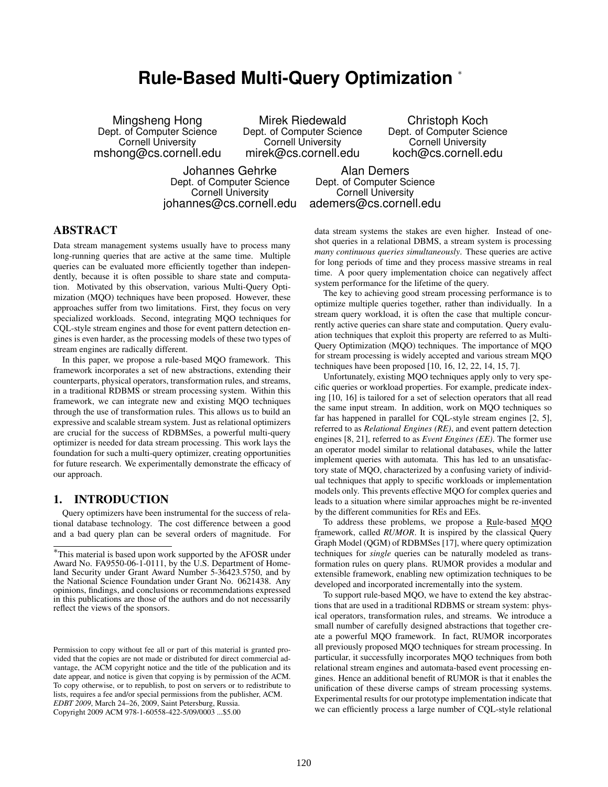# **Rule-Based Multi-Query Optimization** <sup>∗</sup>

Mingsheng Hong Dept. of Computer Science Cornell University mshong@cs.cornell.edu

Mirek Riedewald Dept. of Computer Science Cornell University mirek@cs.cornell.edu

Christoph Koch Dept. of Computer Science Cornell University koch@cs.cornell.edu

Johannes Gehrke Dept. of Computer Science Cornell University johannes@cs.cornell.edu

Alan Demers Dept. of Computer Science Cornell University ademers@cs.cornell.edu

## ABSTRACT

Data stream management systems usually have to process many long-running queries that are active at the same time. Multiple queries can be evaluated more efficiently together than independently, because it is often possible to share state and computation. Motivated by this observation, various Multi-Query Optimization (MQO) techniques have been proposed. However, these approaches suffer from two limitations. First, they focus on very specialized workloads. Second, integrating MQO techniques for CQL-style stream engines and those for event pattern detection engines is even harder, as the processing models of these two types of stream engines are radically different.

In this paper, we propose a rule-based MQO framework. This framework incorporates a set of new abstractions, extending their counterparts, physical operators, transformation rules, and streams, in a traditional RDBMS or stream processing system. Within this framework, we can integrate new and existing MQO techniques through the use of transformation rules. This allows us to build an expressive and scalable stream system. Just as relational optimizers are crucial for the success of RDBMSes, a powerful multi-query optimizer is needed for data stream processing. This work lays the foundation for such a multi-query optimizer, creating opportunities for future research. We experimentally demonstrate the efficacy of our approach.

## 1. INTRODUCTION

Query optimizers have been instrumental for the success of relational database technology. The cost difference between a good and a bad query plan can be several orders of magnitude. For data stream systems the stakes are even higher. Instead of oneshot queries in a relational DBMS, a stream system is processing *many continuous queries simultaneously*. These queries are active for long periods of time and they process massive streams in real time. A poor query implementation choice can negatively affect system performance for the lifetime of the query.

The key to achieving good stream processing performance is to optimize multiple queries together, rather than individually. In a stream query workload, it is often the case that multiple concurrently active queries can share state and computation. Query evaluation techniques that exploit this property are referred to as Multi-Query Optimization (MQO) techniques. The importance of MQO for stream processing is widely accepted and various stream MQO techniques have been proposed [10, 16, 12, 22, 14, 15, 7].

Unfortunately, existing MQO techniques apply only to very specific queries or workload properties. For example, predicate indexing [10, 16] is tailored for a set of selection operators that all read the same input stream. In addition, work on MQO techniques so far has happened in parallel for CQL-style stream engines [2, 5], referred to as *Relational Engines (RE)*, and event pattern detection engines [8, 21], referred to as *Event Engines (EE)*. The former use an operator model similar to relational databases, while the latter implement queries with automata. This has led to an unsatisfactory state of MQO, characterized by a confusing variety of individual techniques that apply to specific workloads or implementation models only. This prevents effective MQO for complex queries and leads to a situation where similar approaches might be re-invented by the different communities for REs and EEs.

To address these problems, we propose a Rule-based MQO framework, called *RUMOR*. It is inspired by the classical Query Graph Model (QGM) of RDBMSes [17], where query optimization techniques for *single* queries can be naturally modeled as transformation rules on query plans. RUMOR provides a modular and extensible framework, enabling new optimization techniques to be developed and incorporated incrementally into the system.

To support rule-based MQO, we have to extend the key abstractions that are used in a traditional RDBMS or stream system: physical operators, transformation rules, and streams. We introduce a small number of carefully designed abstractions that together create a powerful MQO framework. In fact, RUMOR incorporates all previously proposed MQO techniques for stream processing. In particular, it successfully incorporates MQO techniques from both relational stream engines and automata-based event processing engines. Hence an additional benefit of RUMOR is that it enables the unification of these diverse camps of stream processing systems. Experimental results for our prototype implementation indicate that we can efficiently process a large number of CQL-style relational

<sup>∗</sup>This material is based upon work supported by the AFOSR under Award No. FA9550-06-1-0111, by the U.S. Department of Homeland Security under Grant Award Number 5-36423.5750, and by the National Science Foundation under Grant No. 0621438. Any opinions, findings, and conclusions or recommendations expressed in this publications are those of the authors and do not necessarily reflect the views of the sponsors.

Permission to copy without fee all or part of this material is granted provided that the copies are not made or distributed for direct commercial advantage, the ACM copyright notice and the title of the publication and its date appear, and notice is given that copying is by permission of the ACM. To copy otherwise, or to republish, to post on servers or to redistribute to lists, requires a fee and/or special permissions from the publisher, ACM. *EDBT 2009*, March 24–26, 2009, Saint Petersburg, Russia. Copyright 2009 ACM 978-1-60558-422-5/09/0003 ...\$5.00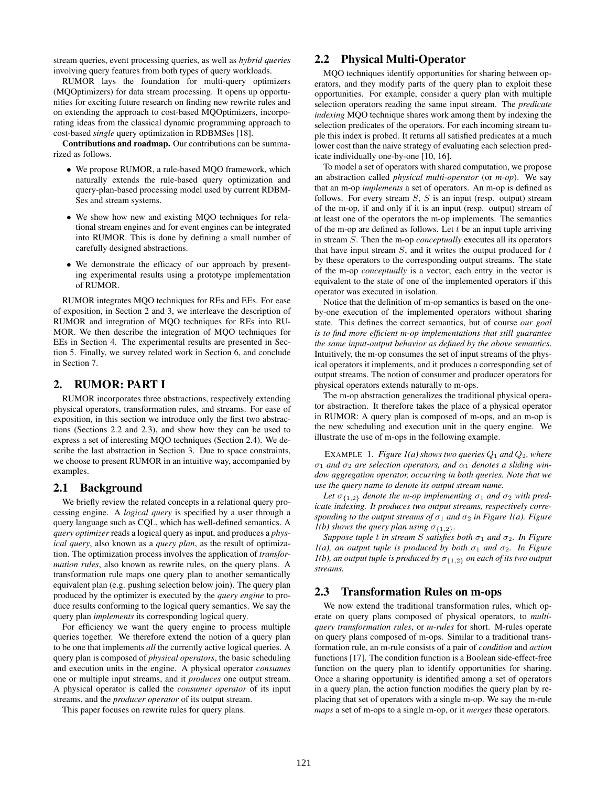stream queries, event processing queries, as well as *hybrid queries* involving query features from both types of query workloads.

RUMOR lays the foundation for multi-query optimizers (MQOptimizers) for data stream processing. It opens up opportunities for exciting future research on finding new rewrite rules and on extending the approach to cost-based MQOptimizers, incorporating ideas from the classical dynamic programming approach to cost-based *single* query optimization in RDBMSes [18].

Contributions and roadmap. Our contributions can be summarized as follows.

- We propose RUMOR, a rule-based MQO framework, which naturally extends the rule-based query optimization and query-plan-based processing model used by current RDBM-Ses and stream systems.
- We show how new and existing MQO techniques for relational stream engines and for event engines can be integrated into RUMOR. This is done by defining a small number of carefully designed abstractions.
- We demonstrate the efficacy of our approach by presenting experimental results using a prototype implementation of RUMOR.

RUMOR integrates MQO techniques for REs and EEs. For ease of exposition, in Section 2 and 3, we interleave the description of RUMOR and integration of MQO techniques for REs into RU-MOR. We then describe the integration of MQO techniques for EEs in Section 4. The experimental results are presented in Section 5. Finally, we survey related work in Section 6, and conclude in Section 7.

### 2. RUMOR: PART I

RUMOR incorporates three abstractions, respectively extending physical operators, transformation rules, and streams. For ease of exposition, in this section we introduce only the first two abstractions (Sections 2.2 and 2.3), and show how they can be used to express a set of interesting MQO techniques (Section 2.4). We describe the last abstraction in Section 3. Due to space constraints, we choose to present RUMOR in an intuitive way, accompanied by examples.

#### 2.1 Background

We briefly review the related concepts in a relational query processing engine. A *logical query* is specified by a user through a query language such as CQL, which has well-defined semantics. A *query optimizer* reads a logical query as input, and produces a *physical query*, also known as a *query plan*, as the result of optimization. The optimization process involves the application of *transformation rules*, also known as rewrite rules, on the query plans. A transformation rule maps one query plan to another semantically equivalent plan (e.g. pushing selection below join). The query plan produced by the optimizer is executed by the *query engine* to produce results conforming to the logical query semantics. We say the query plan *implements* its corresponding logical query.

For efficiency we want the query engine to process multiple queries together. We therefore extend the notion of a query plan to be one that implements *all* the currently active logical queries. A query plan is composed of *physical operators*, the basic scheduling and execution units in the engine. A physical operator *consumes* one or multiple input streams, and it *produces* one output stream. A physical operator is called the *consumer operator* of its input streams, and the *producer operator* of its output stream.

This paper focuses on rewrite rules for query plans.

## 2.2 Physical Multi-Operator

MQO techniques identify opportunities for sharing between operators, and they modify parts of the query plan to exploit these opportunities. For example, consider a query plan with multiple selection operators reading the same input stream. The *predicate indexing* MQO technique shares work among them by indexing the selection predicates of the operators. For each incoming stream tuple this index is probed. It returns all satisfied predicates at a much lower cost than the naive strategy of evaluating each selection predicate individually one-by-one [10, 16].

To model a set of operators with shared computation, we propose an abstraction called *physical multi-operator* (or *m-op*). We say that an m-op *implements* a set of operators. An m-op is defined as follows. For every stream  $S$ ,  $S$  is an input (resp. output) stream of the m-op, if and only if it is an input (resp. output) stream of at least one of the operators the m-op implements. The semantics of the m-op are defined as follows. Let  $t$  be an input tuple arriving in stream S. Then the m-op *conceptually* executes all its operators that have input stream  $S$ , and it writes the output produced for  $t$ by these operators to the corresponding output streams. The state of the m-op *conceptually* is a vector; each entry in the vector is equivalent to the state of one of the implemented operators if this operator was executed in isolation.

Notice that the definition of m-op semantics is based on the oneby-one execution of the implemented operators without sharing state. This defines the correct semantics, but of course *our goal is to find more efficient m-op implementations that still guarantee the same input-output behavior as defined by the above semantics*. Intuitively, the m-op consumes the set of input streams of the physical operators it implements, and it produces a corresponding set of output streams. The notion of consumer and producer operators for physical operators extends naturally to m-ops.

The m-op abstraction generalizes the traditional physical operator abstraction. It therefore takes the place of a physical operator in RUMOR: A query plan is composed of m-ops, and an m-op is the new scheduling and execution unit in the query engine. We illustrate the use of m-ops in the following example.

EXAMPLE 1. *Figure 1(a) shows two queries*  $Q_1$  *and*  $Q_2$ *, where* σ<sub>1</sub> and σ<sub>2</sub> are selection operators, and  $α_1$  denotes a sliding win*dow aggregation operator, occurring in both queries. Note that we use the query name to denote its output stream name.*

Let  $\sigma_{\{1,2\}}$  denote the m-op implementing  $\sigma_1$  and  $\sigma_2$  with pred*icate indexing. It produces two output streams, respectively corresponding to the output streams of*  $\sigma_1$  *and*  $\sigma_2$  *in Figure 1(a). Figure 1(b) shows the query plan using*  $\sigma_{\{1,2\}}$ *.* 

*Suppose tuple t in stream S satisfies both*  $\sigma_1$  *and*  $\sigma_2$ *. In Figure*  $I(a)$ , an output tuple is produced by both  $\sigma_1$  and  $\sigma_2$ . In Figure *1(b), an output tuple is produced by*  $\sigma_{\{1,2\}}$  *on each of its two output streams.*

### 2.3 Transformation Rules on m-ops

We now extend the traditional transformation rules, which operate on query plans composed of physical operators, to *multiquery transformation rules*, or *m-rules* for short. M-rules operate on query plans composed of m-ops. Similar to a traditional transformation rule, an m-rule consists of a pair of *condition* and *action* functions [17]. The condition function is a Boolean side-effect-free function on the query plan to identify opportunities for sharing. Once a sharing opportunity is identified among a set of operators in a query plan, the action function modifies the query plan by replacing that set of operators with a single m-op. We say the m-rule *maps* a set of m-ops to a single m-op, or it *merges* these operators.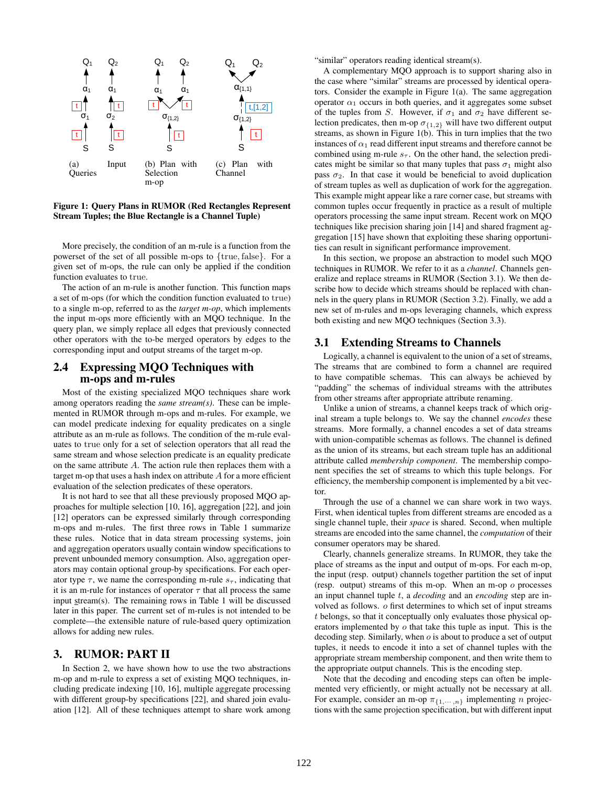

Figure 1: Query Plans in RUMOR (Red Rectangles Represent Stream Tuples; the Blue Rectangle is a Channel Tuple)

More precisely, the condition of an m-rule is a function from the powerset of the set of all possible m-ops to {true, false}. For a given set of m-ops, the rule can only be applied if the condition function evaluates to true.

The action of an m-rule is another function. This function maps a set of m-ops (for which the condition function evaluated to true) to a single m-op, referred to as the *target m-op*, which implements the input m-ops more efficiently with an MQO technique. In the query plan, we simply replace all edges that previously connected other operators with the to-be merged operators by edges to the corresponding input and output streams of the target m-op.

#### 2.4 Expressing MQO Techniques with m-ops and m-rules

Most of the existing specialized MQO techniques share work among operators reading the *same stream(s)*. These can be implemented in RUMOR through m-ops and m-rules. For example, we can model predicate indexing for equality predicates on a single attribute as an m-rule as follows. The condition of the m-rule evaluates to true only for a set of selection operators that all read the same stream and whose selection predicate is an equality predicate on the same attribute A. The action rule then replaces them with a target m-op that uses a hash index on attribute  $A$  for a more efficient evaluation of the selection predicates of these operators.

It is not hard to see that all these previously proposed MQO approaches for multiple selection [10, 16], aggregation [22], and join [12] operators can be expressed similarly through corresponding m-ops and m-rules. The first three rows in Table 1 summarize these rules. Notice that in data stream processing systems, join and aggregation operators usually contain window specifications to prevent unbounded memory consumption. Also, aggregation operators may contain optional group-by specifications. For each operator type  $\tau$ , we name the corresponding m-rule  $s_{\tau}$ , indicating that it is an m-rule for instances of operator  $\tau$  that all process the same input stream(s). The remaining rows in Table 1 will be discussed later in this paper. The current set of m-rules is not intended to be complete—the extensible nature of rule-based query optimization allows for adding new rules.

#### 3. RUMOR: PART II

In Section 2, we have shown how to use the two abstractions m-op and m-rule to express a set of existing MQO techniques, including predicate indexing [10, 16], multiple aggregate processing with different group-by specifications [22], and shared join evaluation [12]. All of these techniques attempt to share work among "similar" operators reading identical stream(s).

A complementary MQO approach is to support sharing also in the case where "similar" streams are processed by identical operators. Consider the example in Figure 1(a). The same aggregation operator  $\alpha_1$  occurs in both queries, and it aggregates some subset of the tuples from S. However, if  $\sigma_1$  and  $\sigma_2$  have different selection predicates, then m-op  $\sigma_{\{1,2\}}$  will have two different output streams, as shown in Figure 1(b). This in turn implies that the two instances of  $\alpha_1$  read different input streams and therefore cannot be combined using m-rule  $s_{\tau}$ . On the other hand, the selection predicates might be similar so that many tuples that pass  $\sigma_1$  might also pass  $\sigma_2$ . In that case it would be beneficial to avoid duplication of stream tuples as well as duplication of work for the aggregation. This example might appear like a rare corner case, but streams with common tuples occur frequently in practice as a result of multiple operators processing the same input stream. Recent work on MQO techniques like precision sharing join [14] and shared fragment aggregation [15] have shown that exploiting these sharing opportunities can result in significant performance improvement.

In this section, we propose an abstraction to model such MQO techniques in RUMOR. We refer to it as a *channel*. Channels generalize and replace streams in RUMOR (Section 3.1). We then describe how to decide which streams should be replaced with channels in the query plans in RUMOR (Section 3.2). Finally, we add a new set of m-rules and m-ops leveraging channels, which express both existing and new MQO techniques (Section 3.3).

#### 3.1 Extending Streams to Channels

Logically, a channel is equivalent to the union of a set of streams, The streams that are combined to form a channel are required to have compatible schemas. This can always be achieved by "padding" the schemas of individual streams with the attributes from other streams after appropriate attribute renaming.

Unlike a union of streams, a channel keeps track of which original stream a tuple belongs to. We say the channel *encodes* these streams. More formally, a channel encodes a set of data streams with union-compatible schemas as follows. The channel is defined as the union of its streams, but each stream tuple has an additional attribute called *membership component*. The membership component specifies the set of streams to which this tuple belongs. For efficiency, the membership component is implemented by a bit vector.

Through the use of a channel we can share work in two ways. First, when identical tuples from different streams are encoded as a single channel tuple, their *space* is shared. Second, when multiple streams are encoded into the same channel, the *computation* of their consumer operators may be shared.

Clearly, channels generalize streams. In RUMOR, they take the place of streams as the input and output of m-ops. For each m-op, the input (resp. output) channels together partition the set of input (resp. output) streams of this m-op. When an m-op o processes an input channel tuple t, a *decoding* and an *encoding* step are involved as follows. o first determines to which set of input streams t belongs, so that it conceptually only evaluates those physical operators implemented by o that take this tuple as input. This is the decoding step. Similarly, when  $\sigma$  is about to produce a set of output tuples, it needs to encode it into a set of channel tuples with the appropriate stream membership component, and then write them to the appropriate output channels. This is the encoding step.

Note that the decoding and encoding steps can often be implemented very efficiently, or might actually not be necessary at all. For example, consider an m-op  $\pi_{\{1,\cdots,n\}}$  implementing *n* projections with the same projection specification, but with different input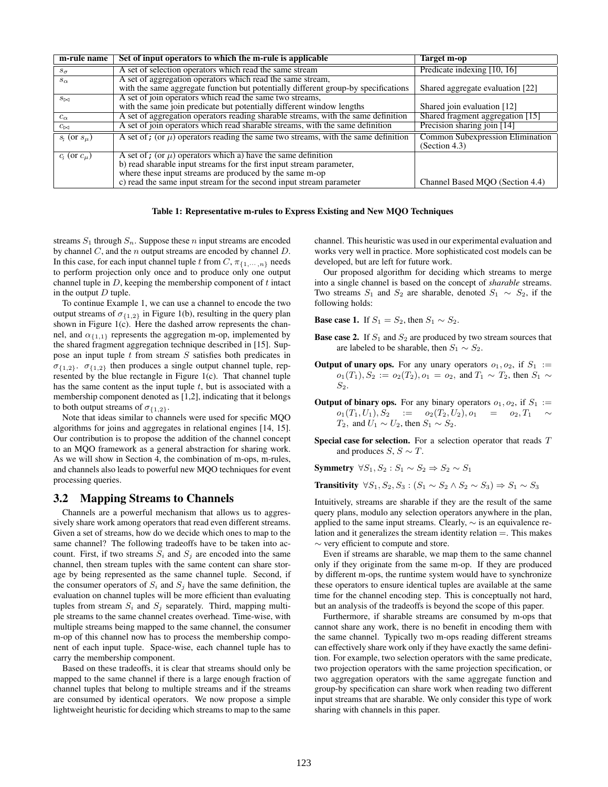| m-rule name         | Set of input operators to which the m-rule is applicable                                | Target m-op                                              |
|---------------------|-----------------------------------------------------------------------------------------|----------------------------------------------------------|
| $S_{\sigma}$        | A set of selection operators which read the same stream                                 | Predicate indexing [10, 16]                              |
| $s_{\alpha}$        | A set of aggregation operators which read the same stream,                              |                                                          |
|                     | with the same aggregate function but potentially different group-by specifications      | Shared aggregate evaluation [22]                         |
| $s_{\bowtie}$       | A set of join operators which read the same two streams,                                |                                                          |
|                     | with the same join predicate but potentially different window lengths                   | Shared join evaluation [12]                              |
| $c_{\alpha}$        | A set of aggregation operators reading sharable streams, with the same definition       | Shared fragment aggregation [15]                         |
| $c_{\bowtie}$       | A set of join operators which read sharable streams, with the same definition           | Precision sharing join [14]                              |
| $s_i$ (or $s_\mu$ ) | A set of ; (or $\mu$ ) operators reading the same two streams, with the same definition | <b>Common Subexpression Elimination</b><br>(Section 4.3) |
| $c_i$ (or $c_\mu$ ) | A set of ; (or $\mu$ ) operators which a) have the same definition                      |                                                          |
|                     | b) read sharable input streams for the first input stream parameter,                    |                                                          |
|                     | where these input streams are produced by the same m-op                                 |                                                          |
|                     | c) read the same input stream for the second input stream parameter                     | Channel Based MOO (Section 4.4)                          |

Table 1: Representative m-rules to Express Existing and New MQO Techniques

streams  $S_1$  through  $S_n$ . Suppose these n input streams are encoded by channel  $C$ , and the  $n$  output streams are encoded by channel  $D$ . In this case, for each input channel tuple t from  $C$ ,  $\pi_{\{1,\cdots,n\}}$  needs to perform projection only once and to produce only one output channel tuple in  $D$ , keeping the membership component of  $t$  intact in the output  $D$  tuple.

To continue Example 1, we can use a channel to encode the two output streams of  $\sigma_{\{1,2\}}$  in Figure 1(b), resulting in the query plan shown in Figure 1(c). Here the dashed arrow represents the channel, and  $\alpha_{\{1,1\}}$  represents the aggregation m-op, implemented by the shared fragment aggregation technique described in [15]. Suppose an input tuple  $t$  from stream  $S$  satisfies both predicates in  $\sigma_{\{1,2\}}$ .  $\sigma_{\{1,2\}}$  then produces a single output channel tuple, represented by the blue rectangle in Figure 1(c). That channel tuple has the same content as the input tuple  $t$ , but is associated with a membership component denoted as [1,2], indicating that it belongs to both output streams of  $\sigma_{\{1,2\}}$ .

Note that ideas similar to channels were used for specific MQO algorithms for joins and aggregates in relational engines [14, 15]. Our contribution is to propose the addition of the channel concept to an MQO framework as a general abstraction for sharing work. As we will show in Section 4, the combination of m-ops, m-rules, and channels also leads to powerful new MQO techniques for event processing queries.

#### 3.2 Mapping Streams to Channels

Channels are a powerful mechanism that allows us to aggressively share work among operators that read even different streams. Given a set of streams, how do we decide which ones to map to the same channel? The following tradeoffs have to be taken into account. First, if two streams  $S_i$  and  $S_j$  are encoded into the same channel, then stream tuples with the same content can share storage by being represented as the same channel tuple. Second, if the consumer operators of  $S_i$  and  $S_j$  have the same definition, the evaluation on channel tuples will be more efficient than evaluating tuples from stream  $S_i$  and  $S_j$  separately. Third, mapping multiple streams to the same channel creates overhead. Time-wise, with multiple streams being mapped to the same channel, the consumer m-op of this channel now has to process the membership component of each input tuple. Space-wise, each channel tuple has to carry the membership component.

Based on these tradeoffs, it is clear that streams should only be mapped to the same channel if there is a large enough fraction of channel tuples that belong to multiple streams and if the streams are consumed by identical operators. We now propose a simple lightweight heuristic for deciding which streams to map to the same

channel. This heuristic was used in our experimental evaluation and works very well in practice. More sophisticated cost models can be developed, but are left for future work.

Our proposed algorithm for deciding which streams to merge into a single channel is based on the concept of *sharable* streams. Two streams  $S_1$  and  $S_2$  are sharable, denoted  $S_1 \sim S_2$ , if the following holds:

**Base case 1.** If  $S_1 = S_2$ , then  $S_1 \sim S_2$ .

- **Base case 2.** If  $S_1$  and  $S_2$  are produced by two stream sources that are labeled to be sharable, then  $S_1 \sim S_2$ .
- **Output of unary ops.** For any unary operators  $o_1, o_2$ , if  $S_1 :=$  $o_1(T_1), S_2 := o_2(T_2), o_1 = o_2$ , and  $T_1 \sim T_2$ , then  $S_1 \sim$  $S_2.$
- **Output of binary ops.** For any binary operators  $o_1, o_2$ , if  $S_1 :=$  $o_1(T_1, U_1), S_2$  :=  $o_2(T_2, U_2), o_1$  =  $o_2, T_1 \sim$  $T_2$ , and  $U_1 \sim U_2$ , then  $S_1 \sim S_2$ .
- Special case for selection. For a selection operator that reads T and produces  $S, S \sim T$ .

Symmetry  $\forall S_1, S_2 : S_1 \sim S_2 \Rightarrow S_2 \sim S_1$ 

Transitivity  $\forall S_1, S_2, S_3 : (S_1 \sim S_2 \wedge S_2 \sim S_3) \Rightarrow S_1 \sim S_3$ 

Intuitively, streams are sharable if they are the result of the same query plans, modulo any selection operators anywhere in the plan, applied to the same input streams. Clearly,  $\sim$  is an equivalence relation and it generalizes the stream identity relation =. This makes ∼ very efficient to compute and store.

Even if streams are sharable, we map them to the same channel only if they originate from the same m-op. If they are produced by different m-ops, the runtime system would have to synchronize these operators to ensure identical tuples are available at the same time for the channel encoding step. This is conceptually not hard, but an analysis of the tradeoffs is beyond the scope of this paper.

Furthermore, if sharable streams are consumed by m-ops that cannot share any work, there is no benefit in encoding them with the same channel. Typically two m-ops reading different streams can effectively share work only if they have exactly the same definition. For example, two selection operators with the same predicate, two projection operators with the same projection specification, or two aggregation operators with the same aggregate function and group-by specification can share work when reading two different input streams that are sharable. We only consider this type of work sharing with channels in this paper.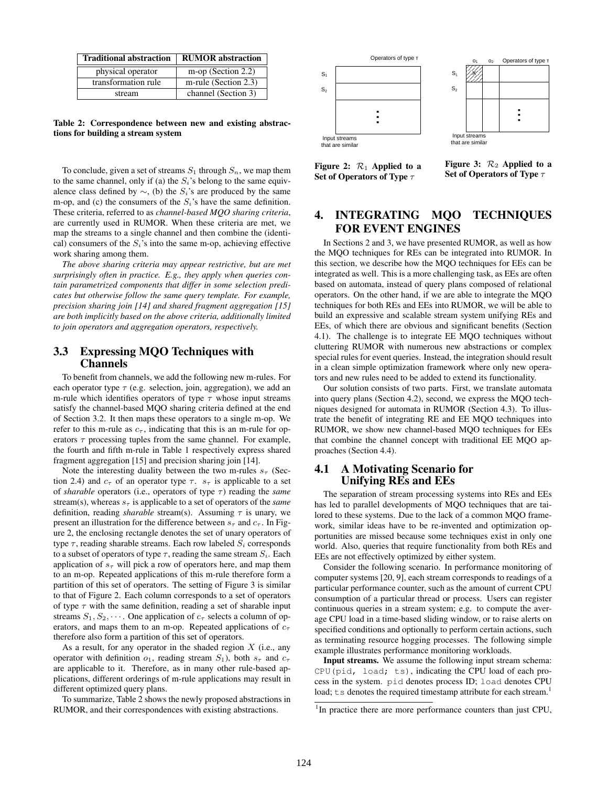| <b>Traditional abstraction</b> | <b>RUMOR</b> abstraction |
|--------------------------------|--------------------------|
| physical operator              | m-op (Section $2.2$ )    |
| transformation rule            | m-rule (Section 2.3)     |
| stream                         | channel (Section 3)      |

Table 2: Correspondence between new and existing abstractions for building a stream system

To conclude, given a set of streams  $S_1$  through  $S_n$ , we map them to the same channel, only if (a) the  $S_i$ 's belong to the same equivalence class defined by  $\sim$ , (b) the S<sub>i</sub>'s are produced by the same m-op, and (c) the consumers of the  $S_i$ 's have the same definition. These criteria, referred to as *channel-based MQO sharing criteria*, are currently used in RUMOR. When these criteria are met, we map the streams to a single channel and then combine the (identical) consumers of the  $S_i$ 's into the same m-op, achieving effective work sharing among them.

*The above sharing criteria may appear restrictive, but are met surprisingly often in practice. E.g., they apply when queries contain parametrized components that differ in some selection predicates but otherwise follow the same query template. For example, precision sharing join [14] and shared fragment aggregation [15] are both implicitly based on the above criteria, additionally limited to join operators and aggregation operators, respectively.*

# 3.3 Expressing MQO Techniques with Channels

To benefit from channels, we add the following new m-rules. For each operator type  $\tau$  (e.g. selection, join, aggregation), we add an m-rule which identifies operators of type  $\tau$  whose input streams satisfy the channel-based MQO sharing criteria defined at the end of Section 3.2. It then maps these operators to a single m-op. We refer to this m-rule as  $c_{\tau}$ , indicating that this is an m-rule for operators  $\tau$  processing tuples from the same channel. For example, the fourth and fifth m-rule in Table 1 respectively express shared fragment aggregation [15] and precision sharing join [14].

Note the interesting duality between the two m-rules  $s_{\tau}$  (Section 2.4) and  $c_{\tau}$  of an operator type  $\tau$ .  $s_{\tau}$  is applicable to a set of *sharable* operators (i.e., operators of type  $\tau$ ) reading the *same* stream(s), whereas  $s_{\tau}$  is applicable to a set of operators of the *same* definition, reading *sharable* stream(s). Assuming  $\tau$  is unary, we present an illustration for the difference between  $s<sub>\tau</sub>$  and  $c<sub>\tau</sub>$ . In Figure 2, the enclosing rectangle denotes the set of unary operators of type  $\tau$ , reading sharable streams. Each row labeled  $S_i$  corresponds to a subset of operators of type  $\tau$ , reading the same stream  $S_i$ . Each application of  $s_{\tau}$  will pick a row of operators here, and map them to an m-op. Repeated applications of this m-rule therefore form a partition of this set of operators. The setting of Figure 3 is similar to that of Figure 2. Each column corresponds to a set of operators of type  $\tau$  with the same definition, reading a set of sharable input streams  $S_1, S_2, \cdots$ . One application of  $c_{\tau}$  selects a column of operators, and maps them to an m-op. Repeated applications of  $c_{\tau}$ therefore also form a partition of this set of operators.

As a result, for any operator in the shaded region  $X$  (i.e., any operator with definition  $o_1$ , reading stream  $S_1$ ), both  $s_\tau$  and  $c_\tau$ are applicable to it. Therefore, as in many other rule-based applications, different orderings of m-rule applications may result in different optimized query plans.

To summarize, Table 2 shows the newly proposed abstractions in RUMOR, and their correspondences with existing abstractions.



Figure 2:  $\mathcal{R}_1$  Applied to a Set of Operators of Type  $\tau$ 

Figure 3:  $\mathcal{R}_2$  Applied to a Set of Operators of Type  $\tau$ 

# 4. INTEGRATING MQO TECHNIQUES FOR EVENT ENGINES

In Sections 2 and 3, we have presented RUMOR, as well as how the MQO techniques for REs can be integrated into RUMOR. In this section, we describe how the MQO techniques for EEs can be integrated as well. This is a more challenging task, as EEs are often based on automata, instead of query plans composed of relational operators. On the other hand, if we are able to integrate the MQO techniques for both REs and EEs into RUMOR, we will be able to build an expressive and scalable stream system unifying REs and EEs, of which there are obvious and significant benefits (Section 4.1). The challenge is to integrate EE MQO techniques without cluttering RUMOR with numerous new abstractions or complex special rules for event queries. Instead, the integration should result in a clean simple optimization framework where only new operators and new rules need to be added to extend its functionality.

Our solution consists of two parts. First, we translate automata into query plans (Section 4.2), second, we express the MQO techniques designed for automata in RUMOR (Section 4.3). To illustrate the benefit of integrating RE and EE MQO techniques into RUMOR, we show new channel-based MQO techniques for EEs that combine the channel concept with traditional EE MQO approaches (Section 4.4).

#### 4.1 A Motivating Scenario for Unifying REs and EEs

The separation of stream processing systems into REs and EEs has led to parallel developments of MQO techniques that are tailored to these systems. Due to the lack of a common MQO framework, similar ideas have to be re-invented and optimization opportunities are missed because some techniques exist in only one world. Also, queries that require functionality from both REs and EEs are not effectively optimized by either system.

Consider the following scenario. In performance monitoring of computer systems [20, 9], each stream corresponds to readings of a particular performance counter, such as the amount of current CPU consumption of a particular thread or process. Users can register continuous queries in a stream system; e.g. to compute the average CPU load in a time-based sliding window, or to raise alerts on specified conditions and optionally to perform certain actions, such as terminating resource hogging processes. The following simple example illustrates performance monitoring workloads.

Input streams. We assume the following input stream schema: CPU(pid, load; ts), indicating the CPU load of each process in the system. pid denotes process ID; load denotes CPU load;  $t s$  denotes the required timestamp attribute for each stream.<sup>1</sup>

<sup>&</sup>lt;sup>1</sup>In practice there are more performance counters than just CPU,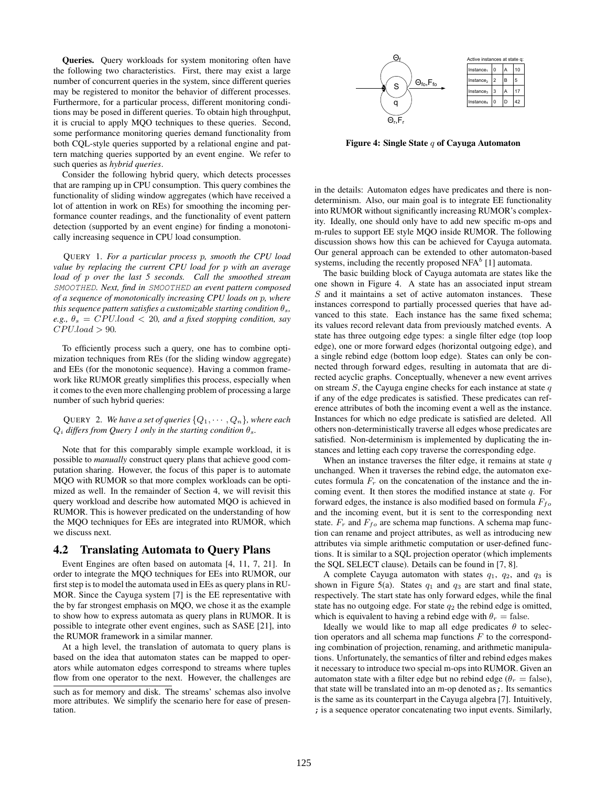Queries. Query workloads for system monitoring often have the following two characteristics. First, there may exist a large number of concurrent queries in the system, since different queries may be registered to monitor the behavior of different processes. Furthermore, for a particular process, different monitoring conditions may be posed in different queries. To obtain high throughput, it is crucial to apply MQO techniques to these queries. Second, some performance monitoring queries demand functionality from both CQL-style queries supported by a relational engine and pattern matching queries supported by an event engine. We refer to such queries as *hybrid queries*.

Consider the following hybrid query, which detects processes that are ramping up in CPU consumption. This query combines the functionality of sliding window aggregates (which have received a lot of attention in work on REs) for smoothing the incoming performance counter readings, and the functionality of event pattern detection (supported by an event engine) for finding a monotonically increasing sequence in CPU load consumption.

QUERY 1. *For a particular process* p*, smooth the CPU load value by replacing the current CPU load for* p *with an average load of* p *over the last 5 seconds. Call the smoothed stream* SMOOTHED*. Next, find in* SMOOTHED *an event pattern composed of a sequence of monotonically increasing CPU loads on* p*, where this sequence pattern satisfies a customizable starting condition*  $\theta_s$ ,  $e.g., \theta_s = CPU.load < 20,$  and a fixed stopping condition, say  $CPU.load > 90.$ 

To efficiently process such a query, one has to combine optimization techniques from REs (for the sliding window aggregate) and EEs (for the monotonic sequence). Having a common framework like RUMOR greatly simplifies this process, especially when it comes to the even more challenging problem of processing a large number of such hybrid queries:

QUERY 2. We have a set of queries  $\{Q_1, \cdots, Q_n\}$ , where each  $Q_i$  differs from Query 1 only in the starting condition  $\theta_s$ .

Note that for this comparably simple example workload, it is possible to *manually* construct query plans that achieve good computation sharing. However, the focus of this paper is to automate MQO with RUMOR so that more complex workloads can be optimized as well. In the remainder of Section 4, we will revisit this query workload and describe how automated MQO is achieved in RUMOR. This is however predicated on the understanding of how the MQO techniques for EEs are integrated into RUMOR, which we discuss next.

#### 4.2 Translating Automata to Query Plans

Event Engines are often based on automata [4, 11, 7, 21]. In order to integrate the MQO techniques for EEs into RUMOR, our first step is to model the automata used in EEs as query plans in RU-MOR. Since the Cayuga system [7] is the EE representative with the by far strongest emphasis on MQO, we chose it as the example to show how to express automata as query plans in RUMOR. It is possible to integrate other event engines, such as SASE [21], into the RUMOR framework in a similar manner.

At a high level, the translation of automata to query plans is based on the idea that automaton states can be mapped to operators while automaton edges correspond to streams where tuples flow from one operator to the next. However, the challenges are



Figure 4: Single State  $q$  of Cayuga Automaton

in the details: Automaton edges have predicates and there is nondeterminism. Also, our main goal is to integrate EE functionality into RUMOR without significantly increasing RUMOR's complexity. Ideally, one should only have to add new specific m-ops and m-rules to support EE style MQO inside RUMOR. The following discussion shows how this can be achieved for Cayuga automata. Our general approach can be extended to other automaton-based systems, including the recently proposed NFA $^b$  [1] automata.

The basic building block of Cayuga automata are states like the one shown in Figure 4. A state has an associated input stream S and it maintains a set of active automaton instances. These instances correspond to partially processed queries that have advanced to this state. Each instance has the same fixed schema; its values record relevant data from previously matched events. A state has three outgoing edge types: a single filter edge (top loop edge), one or more forward edges (horizontal outgoing edge), and a single rebind edge (bottom loop edge). States can only be connected through forward edges, resulting in automata that are directed acyclic graphs. Conceptually, whenever a new event arrives on stream  $S$ , the Cayuga engine checks for each instance at state  $q$ if any of the edge predicates is satisfied. These predicates can reference attributes of both the incoming event a well as the instance. Instances for which no edge predicate is satisfied are deleted. All others non-deterministically traverse all edges whose predicates are satisfied. Non-determinism is implemented by duplicating the instances and letting each copy traverse the corresponding edge.

When an instance traverses the filter edge, it remains at state  $q$ unchanged. When it traverses the rebind edge, the automaton executes formula  $F_r$  on the concatenation of the instance and the incoming event. It then stores the modified instance at state q. For forward edges, the instance is also modified based on formula  $F_{fo}$ and the incoming event, but it is sent to the corresponding next state.  $F_r$  and  $F_{fo}$  are schema map functions. A schema map function can rename and project attributes, as well as introducing new attributes via simple arithmetic computation or user-defined functions. It is similar to a SQL projection operator (which implements the SQL SELECT clause). Details can be found in [7, 8].

A complete Cayuga automaton with states  $q_1$ ,  $q_2$ , and  $q_3$  is shown in Figure 5(a). States  $q_1$  and  $q_3$  are start and final state, respectively. The start state has only forward edges, while the final state has no outgoing edge. For state  $q_2$  the rebind edge is omitted, which is equivalent to having a rebind edge with  $\theta_r =$  false.

Ideally we would like to map all edge predicates  $\theta$  to selection operators and all schema map functions  $F$  to the corresponding combination of projection, renaming, and arithmetic manipulations. Unfortunately, the semantics of filter and rebind edges makes it necessary to introduce two special m-ops into RUMOR. Given an automaton state with a filter edge but no rebind edge ( $\theta_r$  = false), that state will be translated into an m-op denoted as ; Its semantics is the same as its counterpart in the Cayuga algebra [7]. Intuitively, ;is a sequence operator concatenating two input events. Similarly,

such as for memory and disk. The streams' schemas also involve more attributes. We simplify the scenario here for ease of presentation.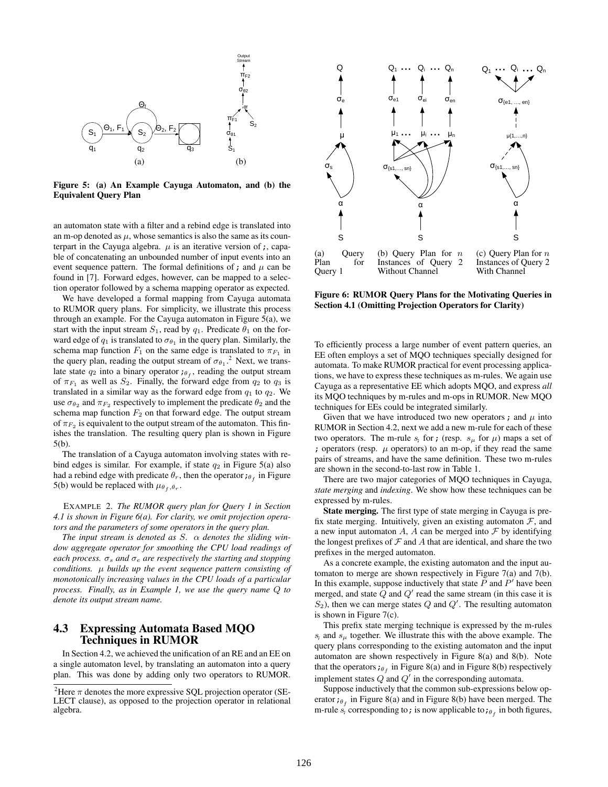

Figure 5: (a) An Example Cayuga Automaton, and (b) the Equivalent Query Plan

an automaton state with a filter and a rebind edge is translated into an m-op denoted as  $\mu$ , whose semantics is also the same as its counterpart in the Cayuga algebra.  $\mu$  is an iterative version of ;, capable of concatenating an unbounded number of input events into an event sequence pattern. The formal definitions of ; and  $\mu$  can be found in [7]. Forward edges, however, can be mapped to a selection operator followed by a schema mapping operator as expected.

We have developed a formal mapping from Cayuga automata to RUMOR query plans. For simplicity, we illustrate this process through an example. For the Cayuga automaton in Figure 5(a), we start with the input stream  $S_1$ , read by  $q_1$ . Predicate  $\theta_1$  on the forward edge of  $q_1$  is translated to  $\sigma_{\theta_1}$  in the query plan. Similarly, the schema map function  $F_1$  on the same edge is translated to  $\pi_{F_1}$  in the query plan, reading the output stream of  $\sigma_{\theta_1}$ .<sup>2</sup> Next, we translate state  $q_2$  into a binary operator  $a_{f}$ , reading the output stream of  $\pi_{F_1}$  as well as  $S_2$ . Finally, the forward edge from  $q_2$  to  $q_3$  is translated in a similar way as the forward edge from  $q_1$  to  $q_2$ . We use  $\sigma_{\theta_2}$  and  $\pi_{F_2}$  respectively to implement the predicate  $\theta_2$  and the schema map function  $F_2$  on that forward edge. The output stream of  $\pi_{F_2}$  is equivalent to the output stream of the automaton. This finishes the translation. The resulting query plan is shown in Figure 5(b).

The translation of a Cayuga automaton involving states with rebind edges is similar. For example, if state  $q_2$  in Figure 5(a) also had a rebind edge with predicate  $\theta_r$ , then the operator  $\theta_f$  in Figure 5(b) would be replaced with  $\mu_{\theta_f, \theta_r}$ .

EXAMPLE 2. *The RUMOR query plan for Query 1 in Section 4.1 is shown in Figure 6(a). For clarity, we omit projection operators and the parameters of some operators in the query plan.*

The input stream is denoted as  $S$ .  $\alpha$  denotes the sliding win*dow aggregate operator for smoothing the CPU load readings of each process.*  $\sigma_s$  *and*  $\sigma_e$  *are respectively the starting and stopping conditions.* µ *builds up the event sequence pattern consisting of monotonically increasing values in the CPU loads of a particular process. Finally, as in Example 1, we use the query name* Q *to denote its output stream name.*

# 4.3 Expressing Automata Based MQO Techniques in RUMOR

In Section 4.2, we achieved the unification of an RE and an EE on a single automaton level, by translating an automaton into a query plan. This was done by adding only two operators to RUMOR.



Figure 6: RUMOR Query Plans for the Motivating Queries in Section 4.1 (Omitting Projection Operators for Clarity)

To efficiently process a large number of event pattern queries, an EE often employs a set of MQO techniques specially designed for automata. To make RUMOR practical for event processing applications, we have to express these techniques as m-rules. We again use Cayuga as a representative EE which adopts MQO, and express *all* its MQO techniques by m-rules and m-ops in RUMOR. New MQO techniques for EEs could be integrated similarly.

Given that we have introduced two new operators  $\chi$  and  $\mu$  into RUMOR in Section 4.2, next we add a new m-rule for each of these two operators. The m-rule  $s_i$  for ; (resp.  $s_\mu$  for  $\mu$ ) maps a set of ; operators (resp.  $\mu$  operators) to an m-op, if they read the same pairs of streams, and have the same definition. These two m-rules are shown in the second-to-last row in Table 1.

There are two major categories of MQO techniques in Cayuga, *state merging* and *indexing*. We show how these techniques can be expressed by m-rules.

State merging. The first type of state merging in Cayuga is prefix state merging. Intuitively, given an existing automaton  $\mathcal{F}$ , and a new input automaton A, A can be merged into  $\mathcal F$  by identifying the longest prefixes of  $\mathcal F$  and  $A$  that are identical, and share the two prefixes in the merged automaton.

As a concrete example, the existing automaton and the input automaton to merge are shown respectively in Figure 7(a) and 7(b). In this example, suppose inductively that state  $\overline{P}$  and  $P'$  have been merged, and state  $Q$  and  $Q'$  read the same stream (in this case it is  $S_2$ ), then we can merge states Q and  $Q'$ . The resulting automaton is shown in Figure 7(c).

This prefix state merging technique is expressed by the m-rules s, and  $s_{\mu}$  together. We illustrate this with the above example. The query plans corresponding to the existing automaton and the input automaton are shown respectively in Figure 8(a) and 8(b). Note that the operators  $\mathfrak{z}_{\theta_f}$  in Figure 8(a) and in Figure 8(b) respectively implement states  $Q$  and  $Q'$  in the corresponding automata.

Suppose inductively that the common sub-expressions below operator  $\mathfrak{z}_{\theta_f}$  in Figure 8(a) and in Figure 8(b) have been merged. The m-rule s, corresponding to; is now applicable to  $\mathfrak{z}_{\theta_f}$  in both figures,

<sup>&</sup>lt;sup>2</sup>Here  $\pi$  denotes the more expressive SQL projection operator (SE-LECT clause), as opposed to the projection operator in relational algebra.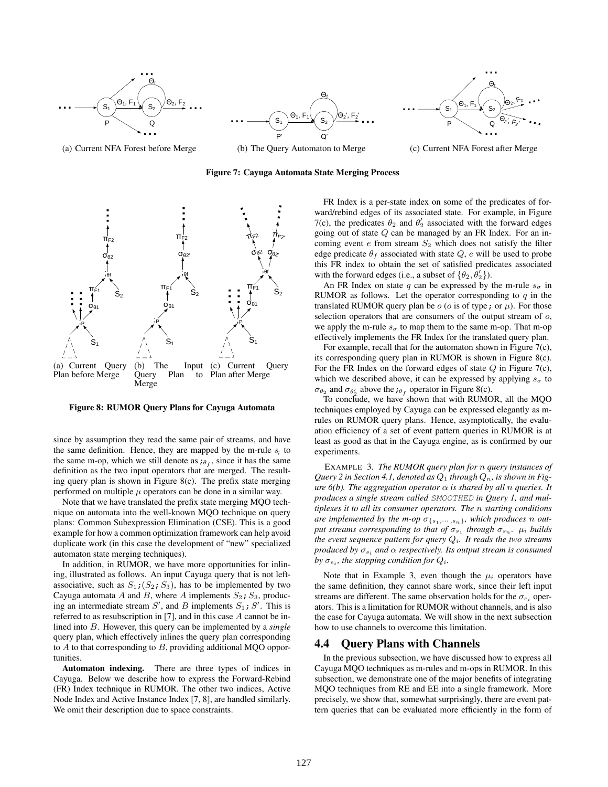

(a) Current NFA Forest before Merge







(c) Current NFA Forest after Merge

Figure 7: Cayuga Automata State Merging Process



Figure 8: RUMOR Query Plans for Cayuga Automata

since by assumption they read the same pair of streams, and have the same definition. Hence, they are mapped by the m-rule  $s<sub>i</sub>$  to the same m-op, which we still denote as  $i_{\theta_f}$ , since it has the same definition as the two input operators that are merged. The resulting query plan is shown in Figure 8(c). The prefix state merging performed on multiple  $\mu$  operators can be done in a similar way.

Note that we have translated the prefix state merging MQO technique on automata into the well-known MQO technique on query plans: Common Subexpression Elimination (CSE). This is a good example for how a common optimization framework can help avoid duplicate work (in this case the development of "new" specialized automaton state merging techniques).

In addition, in RUMOR, we have more opportunities for inlining, illustrated as follows. An input Cayuga query that is not leftassociative, such as  $S_1$ ;  $(S_2; S_3)$ , has to be implemented by two Cayuga automata A and B, where A implements  $S_2$ ;  $S_3$ , producing an intermediate stream  $S'$ , and B implements  $S_1$ ;  $S'$ . This is referred to as resubscription in [7], and in this case A cannot be inlined into B. However, this query can be implemented by a *single* query plan, which effectively inlines the query plan corresponding to  $A$  to that corresponding to  $B$ , providing additional MQO opportunities.

Automaton indexing. There are three types of indices in Cayuga. Below we describe how to express the Forward-Rebind (FR) Index technique in RUMOR. The other two indices, Active Node Index and Active Instance Index [7, 8], are handled similarly. We omit their description due to space constraints.

FR Index is a per-state index on some of the predicates of forward/rebind edges of its associated state. For example, in Figure 7(c), the predicates  $\theta_2$  and  $\theta'_2$  associated with the forward edges going out of state  $Q$  can be managed by an FR Index. For an incoming event  $e$  from stream  $S_2$  which does not satisfy the filter edge predicate  $\theta_f$  associated with state Q, e will be used to probe this FR index to obtain the set of satisfied predicates associated with the forward edges (i.e., a subset of  $\{\theta_2, \theta'_2\}$ ).

An FR Index on state q can be expressed by the m-rule  $s_{\sigma}$  in RUMOR as follows. Let the operator corresponding to  $q$  in the translated RUMOR query plan be  $o$  ( $o$  is of type; or  $\mu$ ). For those selection operators that are consumers of the output stream of o, we apply the m-rule  $s_{\sigma}$  to map them to the same m-op. That m-op effectively implements the FR Index for the translated query plan.

For example, recall that for the automaton shown in Figure 7(c), its corresponding query plan in RUMOR is shown in Figure 8(c). For the FR Index on the forward edges of state  $Q$  in Figure 7(c), which we described above, it can be expressed by applying  $s_{\sigma}$  to  $\sigma_{\theta_2}$  and  $\sigma_{\theta_2'}$  above the  $\sigma_{\theta_f}$  operator in Figure 8(c).

 $\frac{2}{2}$  To conclude, we have shown that with RUMOR, all the MQO techniques employed by Cayuga can be expressed elegantly as mrules on RUMOR query plans. Hence, asymptotically, the evaluation efficiency of a set of event pattern queries in RUMOR is at least as good as that in the Cayuga engine, as is confirmed by our experiments.

EXAMPLE 3. *The RUMOR query plan for* n *query instances of* Query 2 in Section 4.1, denoted as  $Q_1$  through  $Q_n$ , is shown in Fig*ure 6(b). The aggregation operator*  $\alpha$  *is shared by all n queries. It produces a single stream called* SMOOTHED *in Query 1, and multiplexes it to all its consumer operators. The* n *starting conditions* are implemented by the m-op  $\sigma_{\{s_1,\dots,s_n\}}$ , which produces n out*put streams corresponding to that of*  $\sigma_{s_1}$  *through*  $\sigma_{s_n}$ *.*  $\mu_i$  *builds the event sequence pattern for query* Qi*. It reads the two streams produced by*  $\sigma_{s_i}$  and  $\alpha$  *respectively. Its output stream is consumed*  $by \sigma_{e_i}$ , the stopping condition for  $Q_i$ .

Note that in Example 3, even though the  $\mu_i$  operators have the same definition, they cannot share work, since their left input streams are different. The same observation holds for the  $\sigma_{e_i}$  operators. This is a limitation for RUMOR without channels, and is also the case for Cayuga automata. We will show in the next subsection how to use channels to overcome this limitation.

## 4.4 Query Plans with Channels

In the previous subsection, we have discussed how to express all Cayuga MQO techniques as m-rules and m-ops in RUMOR. In this subsection, we demonstrate one of the major benefits of integrating MQO techniques from RE and EE into a single framework. More precisely, we show that, somewhat surprisingly, there are event pattern queries that can be evaluated more efficiently in the form of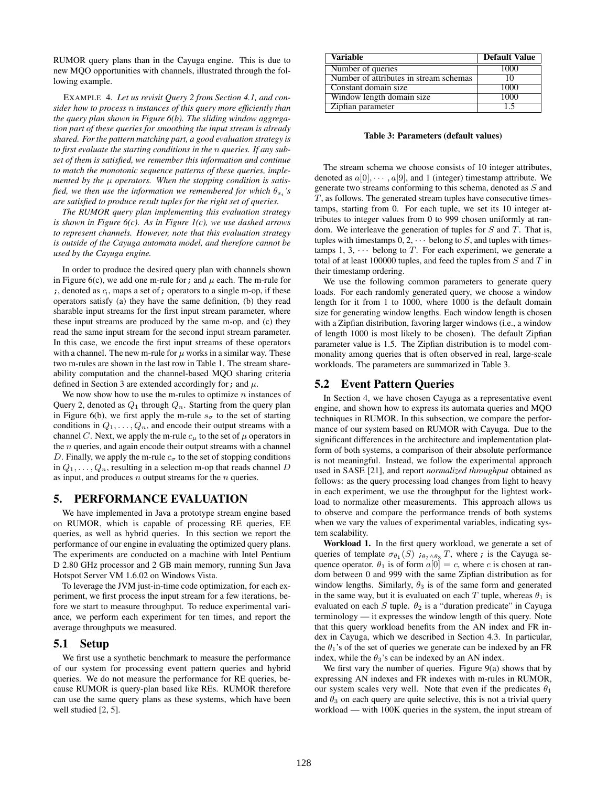RUMOR query plans than in the Cayuga engine. This is due to new MQO opportunities with channels, illustrated through the following example.

EXAMPLE 4. *Let us revisit Query 2 from Section 4.1, and consider how to process* n *instances of this query more efficiently than the query plan shown in Figure 6(b). The sliding window aggregation part of these queries for smoothing the input stream is already shared. For the pattern matching part, a good evaluation strategy is to first evaluate the starting conditions in the* n *queries. If any subset of them is satisfied, we remember this information and continue to match the monotonic sequence patterns of these queries, implemented by the* µ *operators. When the stopping condition is satisfied, we then use the information we remembered for which*  $\theta_{s_i}$ *'s are satisfied to produce result tuples for the right set of queries.*

*The RUMOR query plan implementing this evaluation strategy is shown in Figure 6(c). As in Figure 1(c), we use dashed arrows to represent channels. However, note that this evaluation strategy is outside of the Cayuga automata model, and therefore cannot be used by the Cayuga engine.*

In order to produce the desired query plan with channels shown in Figure 6(c), we add one m-rule for ; and  $\mu$  each. The m-rule for  $;$ , denoted as  $c_i$ , maps a set of ; operators to a single m-op, if these operators satisfy (a) they have the same definition, (b) they read sharable input streams for the first input stream parameter, where these input streams are produced by the same m-op, and (c) they read the same input stream for the second input stream parameter. In this case, we encode the first input streams of these operators with a channel. The new m-rule for  $\mu$  works in a similar way. These two m-rules are shown in the last row in Table 1. The stream shareability computation and the channel-based MQO sharing criteria defined in Section 3 are extended accordingly for ; and  $\mu$ .

We now show how to use the m-rules to optimize  $n$  instances of Query 2, denoted as  $Q_1$  through  $Q_n$ . Starting from the query plan in Figure 6(b), we first apply the m-rule  $s_{\sigma}$  to the set of starting conditions in  $Q_1, \ldots, Q_n$ , and encode their output streams with a channel C. Next, we apply the m-rule  $c_{\mu}$  to the set of  $\mu$  operators in the  $n$  queries, and again encode their output streams with a channel D. Finally, we apply the m-rule  $c_{\sigma}$  to the set of stopping conditions in  $Q_1, \ldots, Q_n$ , resulting in a selection m-op that reads channel D as input, and produces  $n$  output streams for the  $n$  queries.

#### 5. PERFORMANCE EVALUATION

We have implemented in Java a prototype stream engine based on RUMOR, which is capable of processing RE queries, EE queries, as well as hybrid queries. In this section we report the performance of our engine in evaluating the optimized query plans. The experiments are conducted on a machine with Intel Pentium D 2.80 GHz processor and 2 GB main memory, running Sun Java Hotspot Server VM 1.6.02 on Windows Vista.

To leverage the JVM just-in-time code optimization, for each experiment, we first process the input stream for a few iterations, before we start to measure throughput. To reduce experimental variance, we perform each experiment for ten times, and report the average throughputs we measured.

#### 5.1 Setup

We first use a synthetic benchmark to measure the performance of our system for processing event pattern queries and hybrid queries. We do not measure the performance for RE queries, because RUMOR is query-plan based like REs. RUMOR therefore can use the same query plans as these systems, which have been well studied [2, 5].

| <b>Variable</b>                        | <b>Default Value</b> |
|----------------------------------------|----------------------|
| Number of queries                      | 1000                 |
| Number of attributes in stream schemas | 10                   |
| Constant domain size                   | 1000                 |
| Window length domain size              | 1000                 |
| Zipfian parameter                      |                      |

#### Table 3: Parameters (default values)

The stream schema we choose consists of 10 integer attributes, denoted as  $a[0], \cdots, a[9]$ , and 1 (integer) timestamp attribute. We generate two streams conforming to this schema, denoted as S and T, as follows. The generated stream tuples have consecutive timestamps, starting from 0. For each tuple, we set its 10 integer attributes to integer values from 0 to 999 chosen uniformly at random. We interleave the generation of tuples for  $S$  and  $T$ . That is, tuples with timestamps  $0, 2, \cdots$  belong to S, and tuples with timestamps 1, 3,  $\cdots$  belong to T. For each experiment, we generate a total of at least 100000 tuples, and feed the tuples from  $S$  and  $T$  in their timestamp ordering.

We use the following common parameters to generate query loads. For each randomly generated query, we choose a window length for it from 1 to 1000, where 1000 is the default domain size for generating window lengths. Each window length is chosen with a Zipfian distribution, favoring larger windows (i.e., a window of length 1000 is most likely to be chosen). The default Zipfian parameter value is 1.5. The Zipfian distribution is to model commonality among queries that is often observed in real, large-scale workloads. The parameters are summarized in Table 3.

#### 5.2 Event Pattern Queries

In Section 4, we have chosen Cayuga as a representative event engine, and shown how to express its automata queries and MQO techniques in RUMOR. In this subsection, we compare the performance of our system based on RUMOR with Cayuga. Due to the significant differences in the architecture and implementation platform of both systems, a comparison of their absolute performance is not meaningful. Instead, we follow the experimental approach used in SASE [21], and report *normalized throughput* obtained as follows: as the query processing load changes from light to heavy in each experiment, we use the throughput for the lightest workload to normalize other measurements. This approach allows us to observe and compare the performance trends of both systems when we vary the values of experimental variables, indicating system scalability.

Workload 1. In the first query workload, we generate a set of queries of template  $\sigma_{\theta_1}(S)$  ; $\theta_2 \wedge \theta_3$  T, where ; is the Cayuga sequence operator.  $\theta_1$  is of form  $\alpha[0] = c$ , where c is chosen at random between 0 and 999 with the same Zipfian distribution as for window lengths. Similarly,  $\theta_3$  is of the same form and generated in the same way, but it is evaluated on each T tuple, whereas  $\theta_1$  is evaluated on each S tuple.  $\theta_2$  is a "duration predicate" in Cayuga terminology — it expresses the window length of this query. Note that this query workload benefits from the AN index and FR index in Cayuga, which we described in Section 4.3. In particular, the  $\theta_1$ 's of the set of queries we generate can be indexed by an FR index, while the  $\theta_3$ 's can be indexed by an AN index.

We first vary the number of queries. Figure 9(a) shows that by expressing AN indexes and FR indexes with m-rules in RUMOR, our system scales very well. Note that even if the predicates  $\theta_1$ and  $\theta_3$  on each query are quite selective, this is not a trivial query workload — with 100K queries in the system, the input stream of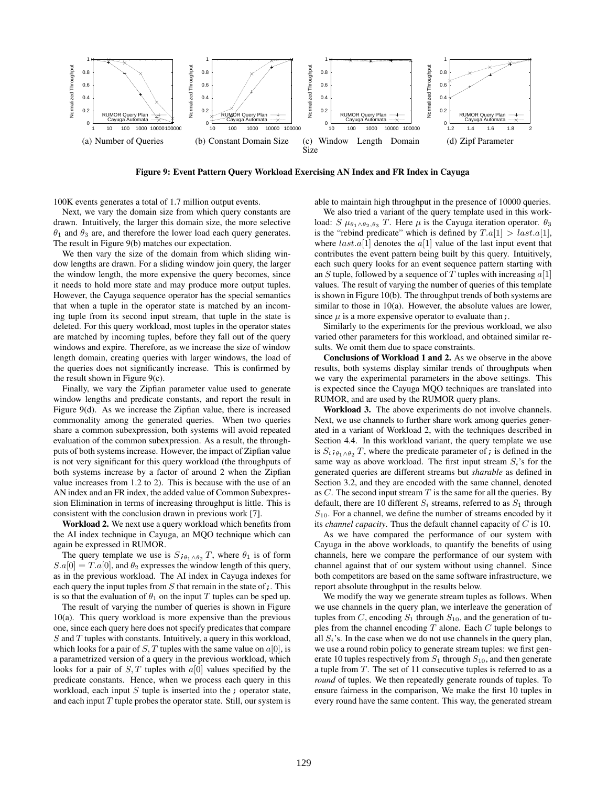

Figure 9: Event Pattern Query Workload Exercising AN Index and FR Index in Cayuga

100K events generates a total of 1.7 million output events.

Next, we vary the domain size from which query constants are drawn. Intuitively, the larger this domain size, the more selective  $\theta_1$  and  $\theta_3$  are, and therefore the lower load each query generates. The result in Figure 9(b) matches our expectation.

We then vary the size of the domain from which sliding window lengths are drawn. For a sliding window join query, the larger the window length, the more expensive the query becomes, since it needs to hold more state and may produce more output tuples. However, the Cayuga sequence operator has the special semantics that when a tuple in the operator state is matched by an incoming tuple from its second input stream, that tuple in the state is deleted. For this query workload, most tuples in the operator states are matched by incoming tuples, before they fall out of the query windows and expire. Therefore, as we increase the size of window length domain, creating queries with larger windows, the load of the queries does not significantly increase. This is confirmed by the result shown in Figure 9(c).

Finally, we vary the Zipfian parameter value used to generate window lengths and predicate constants, and report the result in Figure 9(d). As we increase the Zipfian value, there is increased commonality among the generated queries. When two queries share a common subexpression, both systems will avoid repeated evaluation of the common subexpression. As a result, the throughputs of both systems increase. However, the impact of Zipfian value is not very significant for this query workload (the throughputs of both systems increase by a factor of around 2 when the Zipfian value increases from 1.2 to 2). This is because with the use of an AN index and an FR index, the added value of Common Subexpression Elimination in terms of increasing throughput is little. This is consistent with the conclusion drawn in previous work [7].

Workload 2. We next use a query workload which benefits from the AI index technique in Cayuga, an MQO technique which can again be expressed in RUMOR.

The query template we use is  $S_{i\theta_1 \wedge \theta_2}$  T, where  $\theta_1$  is of form  $S.a[0] = T.a[0]$ , and  $\theta_2$  expresses the window length of this query, as in the previous workload. The AI index in Cayuga indexes for each query the input tuples from S that remain in the state of  $\chi$ . This is so that the evaluation of  $\theta_1$  on the input T tuples can be sped up.

The result of varying the number of queries is shown in Figure 10(a). This query workload is more expensive than the previous one, since each query here does not specify predicates that compare  $S$  and  $T$  tuples with constants. Intuitively, a query in this workload, which looks for a pair of  $S, T$  tuples with the same value on  $a[0]$ , is a parametrized version of a query in the previous workload, which looks for a pair of  $S$ , T tuples with  $a[0]$  values specified by the predicate constants. Hence, when we process each query in this workload, each input  $S$  tuple is inserted into the ; operator state, and each input  $T$  tuple probes the operator state. Still, our system is

able to maintain high throughput in the presence of 10000 queries.

We also tried a variant of the query template used in this workload: S  $\mu_{\theta_1 \wedge \theta_2, \theta_3}$  T. Here  $\mu$  is the Cayuga iteration operator.  $\theta_3$ is the "rebind predicate" which is defined by  $T.a[1] > last.a[1]$ , where  $last.a[1]$  denotes the  $a[1]$  value of the last input event that contributes the event pattern being built by this query. Intuitively, each such query looks for an event sequence pattern starting with an S tuple, followed by a sequence of T tuples with increasing  $a[1]$ values. The result of varying the number of queries of this template is shown in Figure 10(b). The throughput trends of both systems are similar to those in 10(a). However, the absolute values are lower, since  $\mu$  is a more expensive operator to evaluate than ;.

Similarly to the experiments for the previous workload, we also varied other parameters for this workload, and obtained similar results. We omit them due to space constraints.

Conclusions of Workload 1 and 2. As we observe in the above results, both systems display similar trends of throughputs when we vary the experimental parameters in the above settings. This is expected since the Cayuga MQO techniques are translated into RUMOR, and are used by the RUMOR query plans.

Workload 3. The above experiments do not involve channels. Next, we use channels to further share work among queries generated in a variant of Workload 2, with the techniques described in Section 4.4. In this workload variant, the query template we use is  $S_i$ ; $\theta_1 \wedge \theta_2$  T, where the predicate parameter of; is defined in the same way as above workload. The first input stream  $S_i$ 's for the generated queries are different streams but *sharable* as defined in Section 3.2, and they are encoded with the same channel, denoted as  $C$ . The second input stream  $T$  is the same for all the queries. By default, there are 10 different  $S_i$  streams, referred to as  $S_1$  through  $S_{10}$ . For a channel, we define the number of streams encoded by it its *channel capacity*. Thus the default channel capacity of C is 10.

As we have compared the performance of our system with Cayuga in the above workloads, to quantify the benefits of using channels, here we compare the performance of our system with channel against that of our system without using channel. Since both competitors are based on the same software infrastructure, we report absolute throughput in the results below.

We modify the way we generate stream tuples as follows. When we use channels in the query plan, we interleave the generation of tuples from C, encoding  $S_1$  through  $S_{10}$ , and the generation of tuples from the channel encoding  $T$  alone. Each  $C$  tuple belongs to all  $S_i$ 's. In the case when we do not use channels in the query plan, we use a round robin policy to generate stream tuples: we first generate 10 tuples respectively from  $S_1$  through  $S_{10}$ , and then generate a tuple from T. The set of 11 consecutive tuples is referred to as a *round* of tuples. We then repeatedly generate rounds of tuples. To ensure fairness in the comparison, We make the first 10 tuples in every round have the same content. This way, the generated stream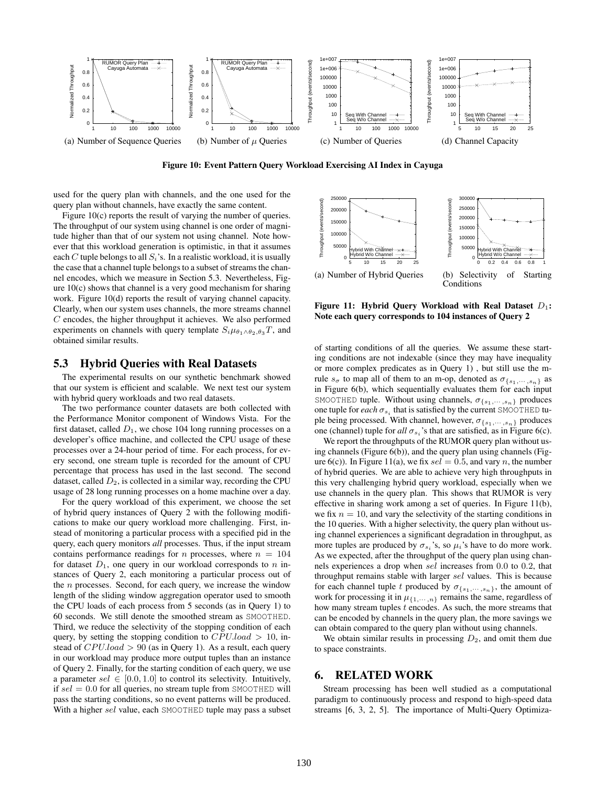

Figure 10: Event Pattern Query Workload Exercising AI Index in Cayuga

used for the query plan with channels, and the one used for the query plan without channels, have exactly the same content.

Figure 10(c) reports the result of varying the number of queries. The throughput of our system using channel is one order of magnitude higher than that of our system not using channel. Note however that this workload generation is optimistic, in that it assumes each C tuple belongs to all  $S_i$ 's. In a realistic workload, it is usually the case that a channel tuple belongs to a subset of streams the channel encodes, which we measure in Section 5.3. Nevertheless, Figure 10(c) shows that channel is a very good mechanism for sharing work. Figure 10(d) reports the result of varying channel capacity. Clearly, when our system uses channels, the more streams channel C encodes, the higher throughput it achieves. We also performed experiments on channels with query template  $S_i\mu_{\theta_1\wedge\theta_2,\theta_3}T$ , and obtained similar results.

#### 5.3 Hybrid Queries with Real Datasets

The experimental results on our synthetic benchmark showed that our system is efficient and scalable. We next test our system with hybrid query workloads and two real datasets.

The two performance counter datasets are both collected with the Performance Monitor component of Windows Vista. For the first dataset, called  $D_1$ , we chose 104 long running processes on a developer's office machine, and collected the CPU usage of these processes over a 24-hour period of time. For each process, for every second, one stream tuple is recorded for the amount of CPU percentage that process has used in the last second. The second dataset, called  $D_2$ , is collected in a similar way, recording the CPU usage of 28 long running processes on a home machine over a day.

For the query workload of this experiment, we choose the set of hybrid query instances of Query 2 with the following modifications to make our query workload more challenging. First, instead of monitoring a particular process with a specified pid in the query, each query monitors *all* processes. Thus, if the input stream contains performance readings for *n* processes, where  $n = 104$ for dataset  $D_1$ , one query in our workload corresponds to n instances of Query 2, each monitoring a particular process out of the  $n$  processes. Second, for each query, we increase the window length of the sliding window aggregation operator used to smooth the CPU loads of each process from 5 seconds (as in Query 1) to 60 seconds. We still denote the smoothed stream as SMOOTHED. Third, we reduce the selectivity of the stopping condition of each query, by setting the stopping condition to  $CPU.load > 10$ , instead of  $CPU.load > 90$  (as in Query 1). As a result, each query in our workload may produce more output tuples than an instance of Query 2. Finally, for the starting condition of each query, we use a parameter  $sel \in [0.0, 1.0]$  to control its selectivity. Intuitively, if  $sel = 0.0$  for all queries, no stream tuple from SMOOTHED will pass the starting conditions, so no event patterns will be produced. With a higher sel value, each SMOOTHED tuple may pass a subset



Figure 11: Hybrid Query Workload with Real Dataset  $D_1$ : Note each query corresponds to 104 instances of Query 2

Conditions

of starting conditions of all the queries. We assume these starting conditions are not indexable (since they may have inequality or more complex predicates as in Query 1) , but still use the mrule  $s_{\sigma}$  to map all of them to an m-op, denoted as  $\sigma_{\{s_1,\dots,s_n\}}$  as in Figure 6(b), which sequentially evaluates them for each input SMOOTHED tuple. Without using channels,  $\sigma_{\{s_1,\dots,s_n\}}$  produces one tuple for *each*  $\sigma_{s_i}$  that is satisfied by the current SMOOTHED tuple being processed. With channel, however,  $\sigma_{\{s_1,\dots,s_n\}}$  produces one (channel) tuple for *all*  $\sigma_{s_i}$ 's that are satisfied, as in Figure 6(c).

We report the throughputs of the RUMOR query plan without using channels (Figure 6(b)), and the query plan using channels (Figure 6(c)). In Figure 11(a), we fix  $sel = 0.5$ , and vary n, the number of hybrid queries. We are able to achieve very high throughputs in this very challenging hybrid query workload, especially when we use channels in the query plan. This shows that RUMOR is very effective in sharing work among a set of queries. In Figure 11(b), we fix  $n = 10$ , and vary the selectivity of the starting conditions in the 10 queries. With a higher selectivity, the query plan without using channel experiences a significant degradation in throughput, as more tuples are produced by  $\sigma_{s_i}$ 's, so  $\mu_i$ 's have to do more work. As we expected, after the throughput of the query plan using channels experiences a drop when sel increases from 0.0 to 0.2, that throughput remains stable with larger sel values. This is because for each channel tuple t produced by  $\sigma_{\{s_1,\dots,s_n\}}$ , the amount of work for processing it in  $\mu_{\{1,\cdots,n\}}$  remains the same, regardless of how many stream tuples  $t$  encodes. As such, the more streams that can be encoded by channels in the query plan, the more savings we can obtain compared to the query plan without using channels.

We obtain similar results in processing  $D_2$ , and omit them due to space constraints.

#### 6. RELATED WORK

Stream processing has been well studied as a computational paradigm to continuously process and respond to high-speed data streams [6, 3, 2, 5]. The importance of Multi-Query Optimiza